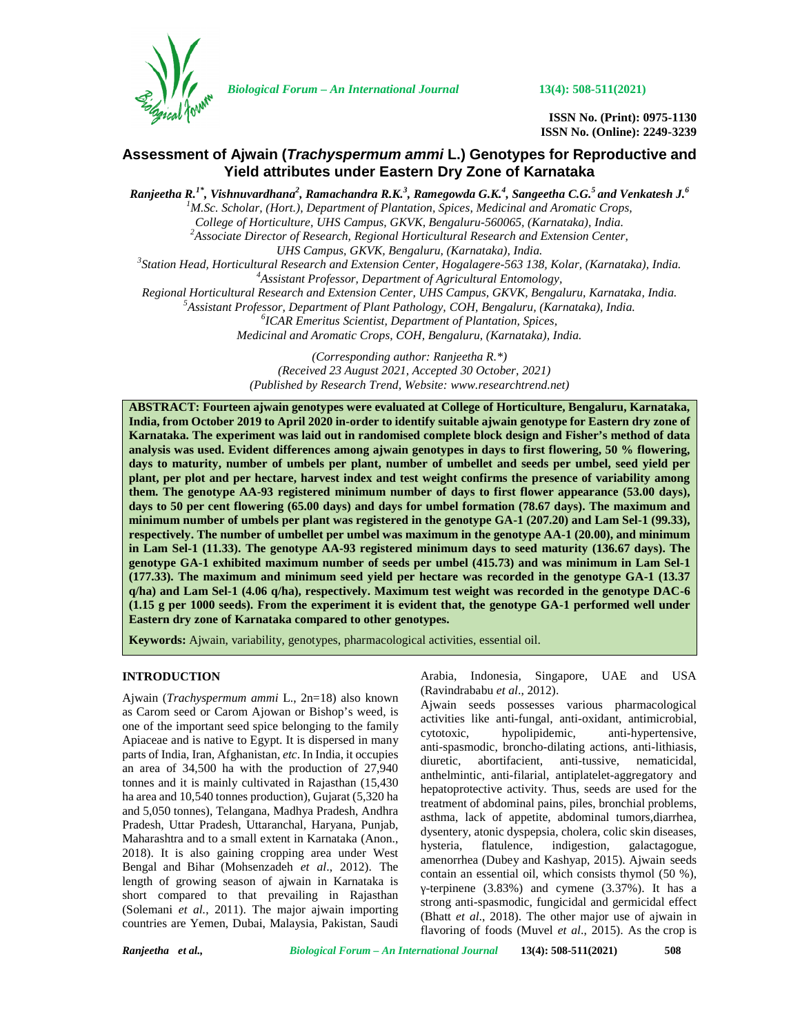

*Biological Forum – An International Journal* **13(4): 508-511(2021)**

**ISSN No. (Print): 0975-1130 ISSN No. (Online): 2249-3239**

# **Assessment of Ajwain (***Trachyspermum ammi* **L.) Genotypes for Reproductive and Yield attributes under Eastern Dry Zone of Karnataka**

 $R$ anjeetha  $R$ .<sup>1\*</sup>, Vishnuvardhana<sup>2</sup>, Ramachandra  $R$ .K.<sup>3</sup>, Ramegowda G.K.<sup>4</sup>, Sangeetha C.G.<sup>5</sup> and Venkatesh J.<sup>6</sup> *<sup>1</sup>M.Sc. Scholar, (Hort.), Department of Plantation, Spices, Medicinal and Aromatic Crops, College of Horticulture, UHS Campus, GKVK, Bengaluru-560065, (Karnataka), India. <sup>2</sup>Associate Director of Research, Regional Horticultural Research and Extension Center,* UHS Campus, GKVK, Bengaluru, (Karnataka), India.<br>3 Station Head, Horticultural Research and Extension Center, Hogalagere-563 138, Kolar, (Karnataka), India.<br>4 Assistant Professor, Department of Agricultural Entomology, Regional Horticultural Research and Extension Center, UHS Campus, GKVK, Bengaluru, Karnataka, India.<br><sup>5</sup>Assistant Professor, Department of Plant Pathology, COH, Bengaluru, (Karnataka), India.<br><sup>6</sup>ICAR Emeritus Scientist, De *Medicinal and Aromatic Crops, COH, Bengaluru, (Karnataka), India. (Corresponding author: Ranjeetha R.\*)*

*(Received 23 August 2021, Accepted 30 October, 2021) (Published by Research Trend, Website: [www.researchtrend.net\)](www.researchtrend.net)*

**ABSTRACT: Fourteen ajwain genotypes were evaluated at College of Horticulture, Bengaluru, Karnataka, India, from October 2019 to April 2020 in-order to identify suitable ajwain genotype for Eastern dry zone of Karnataka. The experiment was laid out in randomised complete block design and Fisher's method of data analysis was used. Evident differences among ajwain genotypes in days to first flowering, 50 % flowering, days to maturity, number of umbels per plant, number of umbellet and seeds per umbel, seed yield per plant, per plot and per hectare, harvest index and test weight confirms the presence of variability among them. The genotype AA-93 registered minimum number of days to first flower appearance (53.00 days), days to 50 per cent flowering (65.00 days) and days for umbel formation (78.67 days). The maximum and minimum number of umbels per plant was registered in the genotype GA-1 (207.20) and Lam Sel-1 (99.33), respectively. The number of umbellet per umbel was maximum in the genotype AA-1 (20.00), and minimum in Lam Sel-1 (11.33). The genotype AA-93 registered minimum days to seed maturity (136.67 days). The genotype GA-1 exhibited maximum number of seeds per umbel (415.73) and was minimum in Lam Sel-1 (177.33). The maximum and minimum seed yield per hectare was recorded in the genotype GA-1 (13.37 q/ha) and Lam Sel-1 (4.06 q/ha), respectively. Maximum test weight was recorded in the genotype DAC-6 (1.15 g per 1000 seeds). From the experiment it is evident that, the genotype GA-1 performed well under Eastern dry zone of Karnataka compared to other genotypes.**

**Keywords:** Ajwain, variability, genotypes, pharmacological activities, essential oil.

# **INTRODUCTION**

Ajwain (*Trachyspermum ammi* L., 2n=18) also known as Carom seed or Carom Ajowan or Bishop's weed, is one of the important seed spice belonging to the family extotoxic, Apiaceae and is native to Egypt. It is dispersed in many parts of India, Iran, Afghanistan, *etc*. In India, it occupies diuretic, an area of 34,500 ha with the production of 27,940 tonnes and it is mainly cultivated in Rajasthan (15,430 ha area and 10,540 tonnes production), Gujarat (5,320 ha and 5,050 tonnes), Telangana, Madhya Pradesh, Andhra Pradesh, Uttar Pradesh, Uttaranchal, Haryana, Punjab, Maharashtra and to a small extent in Karnataka (Anon., hysteria, 2018). It is also gaining cropping area under West Bengal and Bihar (Mohsenzadeh *et al*., 2012). The length of growing season of ajwain in Karnataka is short compared to that prevailing in Rajasthan (Solemani *et al.*, 2011). The major ajwain importing countries are Yemen, Dubai, Malaysia, Pakistan, Saudi

Arabia, Indonesia, Singapore, UAE and USA (Ravindrababu *et al*., 2012).

Ajwain seeds possesses various pharmacological activities like anti-fungal, anti-oxidant, antimicrobial, hypolipidemic, anti-hypertensive, anti-spasmodic, broncho-dilating actions, anti-lithiasis, abortifacient, anti-tussive, nematicidal, anthelmintic, anti-filarial, antiplatelet-aggregatory and hepatoprotective activity. Thus, seeds are used for the treatment of abdominal pains, piles, bronchial problems, asthma, lack of appetite, abdominal tumors,diarrhea, dysentery, atonic dyspepsia, cholera, colic skin diseases, flatulence, indigestion, galactagogue, amenorrhea (Dubey and Kashyap, 2015). Ajwain seeds contain an essential oil, which consists thymol (50 %), -terpinene (3.83%) and cymene (3.37%). It has a strong anti-spasmodic, fungicidal and germicidal effect (Bhatt *et al*., 2018). The other major use of ajwain in flavoring of foods (Muvel *et al*., 2015). As the crop is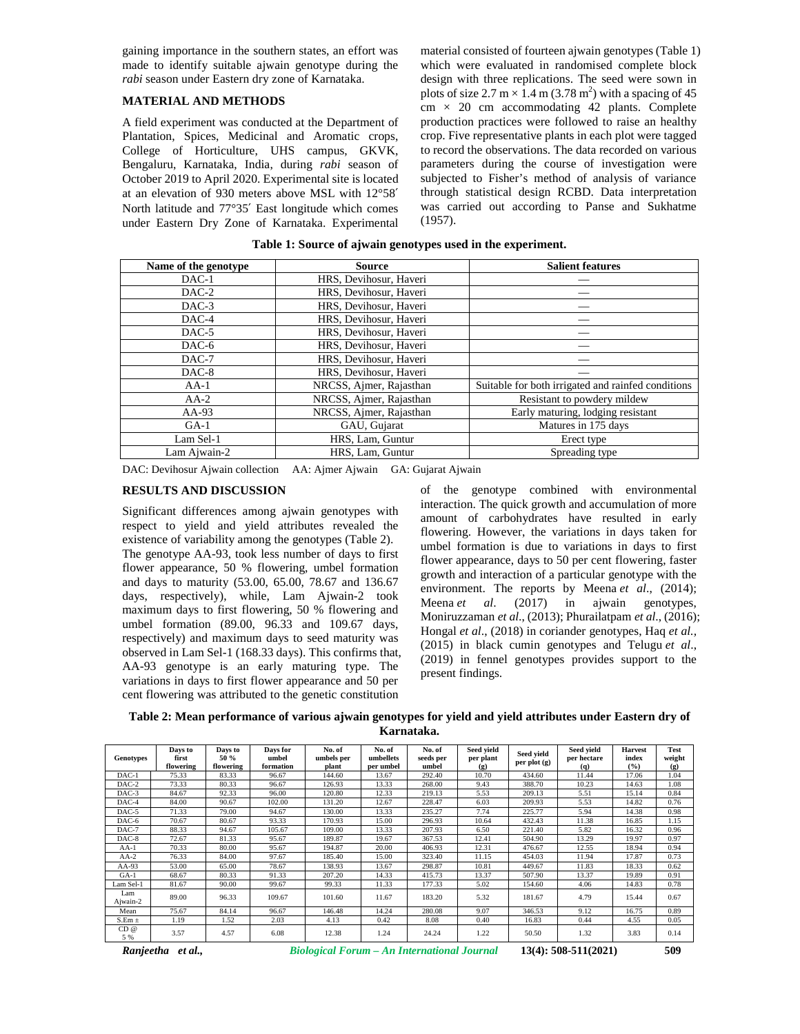gaining importance in the southern states, an effort was made to identify suitable ajwain genotype during the *rabi* season under Eastern dry zone of Karnataka.

# **MATERIAL AND METHODS**

A field experiment was conducted at the Department of Plantation, Spices, Medicinal and Aromatic crops, College of Horticulture, UHS campus, GKVK, Bengaluru, Karnataka, India, during *rabi* season of October 2019 to April 2020. Experimental site is located at an elevation of 930 meters above MSL with 12°58′ North latitude and 77°35′ East longitude which comes under Eastern Dry Zone of Karnataka. Experimental

material consisted of fourteen ajwain genotypes (Table 1) which were evaluated in randomised complete block design with three replications. The seed were sown in plots of size 2.7 m  $\times$  1.4 m (3.78 m<sup>2</sup>) with a spacing of 45  $cm \times 20$  cm accommodating 42 plants. Complete production practices were followed to raise an healthy crop. Five representative plants in each plot were tagged to record the observations. The data recorded on various parameters during the course of investigation were subjected to Fisher's method of analysis of variance through statistical design RCBD. Data interpretation was carried out according to Panse and Sukhatme (1957).

|  | Table 1: Source of ajwain genotypes used in the experiment. |  |
|--|-------------------------------------------------------------|--|
|--|-------------------------------------------------------------|--|

| Name of the genotype | <b>Source</b>           | <b>Salient features</b>                            |  |  |  |
|----------------------|-------------------------|----------------------------------------------------|--|--|--|
| $DAC-1$              | HRS, Devihosur, Haveri  |                                                    |  |  |  |
| $DAC-2$              | HRS, Devihosur, Haveri  |                                                    |  |  |  |
| $DAC-3$              | HRS, Devihosur, Haveri  |                                                    |  |  |  |
| DAC-4                | HRS, Devihosur, Haveri  |                                                    |  |  |  |
| $DAC-5$              | HRS, Devihosur, Haveri  |                                                    |  |  |  |
| DAC-6                | HRS, Devihosur, Haveri  |                                                    |  |  |  |
| $DAC-7$              | HRS, Devihosur, Haveri  |                                                    |  |  |  |
| $DAC-8$              | HRS, Devihosur, Haveri  |                                                    |  |  |  |
| $AA-1$               | NRCSS, Ajmer, Rajasthan | Suitable for both irrigated and rainfed conditions |  |  |  |
| $AA-2$               | NRCSS, Ajmer, Rajasthan | Resistant to powdery mildew                        |  |  |  |
| $AA-93$              | NRCSS, Ajmer, Rajasthan | Early maturing, lodging resistant                  |  |  |  |
| $GA-1$               | GAU, Gujarat            | Matures in 175 days                                |  |  |  |
| Lam Sel-1            | HRS, Lam, Guntur        | Erect type                                         |  |  |  |
| Lam Ajwain-2         | HRS. Lam. Guntur        | Spreading type                                     |  |  |  |

DAC: Devihosur Ajwain collection AA: Ajmer Ajwain GA: Gujarat Ajwain

## **RESULTS AND DISCUSSION**

Significant differences among ajwain genotypes with respect to yield and yield attributes revealed the existence of variability among the genotypes (Table 2). The genotype AA-93, took less number of days to first flower appearance, 50 % flowering, umbel formation and days to maturity (53.00, 65.00, 78.67 and 136.67 days, respectively), while, Lam Ajwain-2 took Meena *et al.* maximum days to first flowering, 50 % flowering and umbel formation (89.00, 96.33 and 109.67 days, respectively) and maximum days to seed maturity was observed in Lam Sel-1 (168.33 days). This confirms that, AA-93 genotype is an early maturing type. The variations in days to first flower appearance and 50 per cent flowering was attributed to the genetic constitution

of the genotype combined with environmental interaction. The quick growth and accumulation of more amount of carbohydrates have resulted in early flowering. However, the variations in days taken for umbel formation is due to variations in days to first flower appearance, days to 50 per cent flowering, faster growth and interaction of a particular genotype with the environment. The reports by Meena *et al.*, (2014); (2017) in ajwain genotypes, Moniruzzaman *et al*., (2013); Phurailatpam *et al*., (2016); Hongal *et al*., (2018) in coriander genotypes, Haq *et al.,* (2015) in black cumin genotypes and Telugu *et al*., (2019) in fennel genotypes provides support to the present findings.

**Table 2: Mean performance of various ajwain genotypes for yield and yield attributes under Eastern dry of Karnataka.**

| <b>Genotypes</b> | Days to<br>first<br>flowering | Days to<br>50 %<br>flowering | Days for<br>umbel<br>formation | No. of<br>umbels per<br>plant | No. of<br>umbellets<br>per umbel | No. of<br>seeds per<br>umbel | Seed vield<br>per plant<br>$\left( \mathbf{p} \right)$ | Seed vield<br>per plot $(g)$ | Seed vield<br>per hectare<br>(q) | <b>Harvest</b><br>index<br>(%) | Test<br>weight<br>(g) |
|------------------|-------------------------------|------------------------------|--------------------------------|-------------------------------|----------------------------------|------------------------------|--------------------------------------------------------|------------------------------|----------------------------------|--------------------------------|-----------------------|
| $DAC-1$          | 75.33                         | 83.33                        | 96.67                          | 144.60                        | 13.67                            | 292.40                       | 10.70                                                  | 434.60                       | 11.44                            | 17.06                          | 1.04                  |
| $DAC-2$          | 73.33                         | 80.33                        | 96.67                          | 126.93                        | 13.33                            | 268.00                       | 9.43                                                   | 388.70                       | 10.23                            | 14.63                          | 1.08                  |
| DAC-3            | 84.67                         | 92.33                        | 96.00                          | 120.80                        | 12.33                            | 219.13                       | 5.53                                                   | 209.13                       | 5.51                             | 15.14                          | 0.84                  |
| $DAC-4$          | 84.00                         | 90.67                        | 102.00                         | 131.20                        | 12.67                            | 228.47                       | 6.03                                                   | 209.93                       | 5.53                             | 14.82                          | 0.76                  |
| DAC-5            | 71.33                         | 79.00                        | 94.67                          | 130.00                        | 13.33                            | 235.27                       | 7.74                                                   | 225.77                       | 5.94                             | 14.38                          | 0.98                  |
| DAC-6            | 70.67                         | 80.67                        | 93.33                          | 170.93                        | 15.00                            | 296.93                       | 10.64                                                  | 432.43                       | 11.38                            | 16.85                          | 1.15                  |
| $DAC-7$          | 88.33                         | 94.67                        | 105.67                         | 109.00                        | 13.33                            | 207.93                       | 6.50                                                   | 221.40                       | 5.82                             | 16.32                          | 0.96                  |
| $DAC-8$          | 72.67                         | 81.33                        | 95.67                          | 189.87                        | 19.67                            | 367.53                       | 12.41                                                  | 504.90                       | 13.29                            | 19.97                          | 0.97                  |
| $AA-1$           | 70.33                         | 80.00                        | 95.67                          | 194.87                        | 20.00                            | 406.93                       | 12.31                                                  | 476.67                       | 12.55                            | 18.94                          | 0.94                  |
| $AA-2$           | 76.33                         | 84.00                        | 97.67                          | 185.40                        | 15.00                            | 323.40                       | 11.15                                                  | 454.03                       | 11.94                            | 17.87                          | 0.73                  |
| $AA-93$          | 53.00                         | 65.00                        | 78.67                          | 138.93                        | 13.67                            | 298.87                       | 10.81                                                  | 449.67                       | 11.83                            | 18.33                          | 0.62                  |
| $GA-1$           | 68.67                         | 80.33                        | 91.33                          | 207.20                        | 14.33                            | 415.73                       | 13.37                                                  | 507.90                       | 13.37                            | 19.89                          | 0.91                  |
| Lam Sel-1        | 81.67                         | 90.00                        | 99.67                          | 99.33                         | 11.33                            | 177.33                       | 5.02                                                   | 154.60                       | 4.06                             | 14.83                          | 0.78                  |
| Lam<br>Ajwain-2  | 89.00                         | 96.33                        | 109.67                         | 101.60                        | 11.67                            | 183.20                       | 5.32                                                   | 181.67                       | 4.79                             | 15.44                          | 0.67                  |
| Mean             | 75.67                         | 84.14                        | 96.67                          | 146.48                        | 14.24                            | 280.08                       | 9.07                                                   | 346.53                       | 9.12                             | 16.75                          | 0.89                  |
| $S.Em \pm$       | 1.19                          | 1.52                         | 2.03                           | 4.13                          | 0.42                             | 8.08                         | 0.40                                                   | 16.83                        | 0.44                             | 4.55                           | 0.05                  |
| CD@<br>5 %       | 3.57                          | 4.57                         | 6.08                           | 12.38                         | 1.24                             | 24.24                        | 1.22                                                   | 50.50                        | 1.32                             | 3.83                           | 0.14                  |

*Ranjeetha et al., Biological Forum – An International Journal* **13(4): 508-511(2021) 509**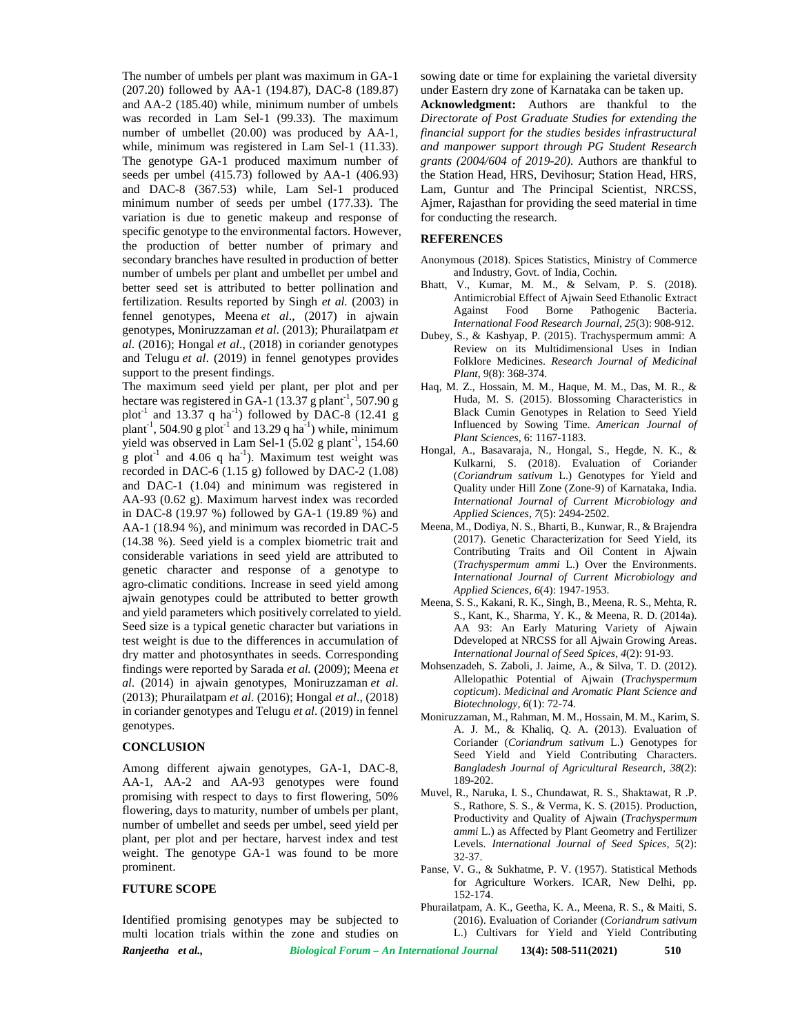The number of umbels per plant was maximum in GA-1 (207.20) followed by AA-1 (194.87), DAC-8 (189.87) and AA-2 (185.40) while, minimum number of umbels was recorded in Lam Sel-1 (99.33). The maximum number of umbellet (20.00) was produced by AA-1, while, minimum was registered in Lam Sel-1 (11.33). The genotype GA-1 produced maximum number of seeds per umbel (415.73) followed by AA-1 (406.93) and DAC-8 (367.53) while, Lam Sel-1 produced minimum number of seeds per umbel (177.33). The variation is due to genetic makeup and response of specific genotype to the environmental factors. However, the production of better number of primary and secondary branches have resulted in production of better number of umbels per plant and umbellet per umbel and better seed set is attributed to better pollination and fertilization. Results reported by Singh *et al.* (2003) in fennel genotypes, Meena *et al*., (2017) in ajwain genotypes, Moniruzzaman *et al*. (2013); Phurailatpam *et al*. (2016); Hongal *et al*., (2018) in coriander genotypes and Telugu *et al*. (2019) in fennel genotypes provides support to the present findings.

The maximum seed yield per plant, per plot and per hectare was registered in GA-1 ( $13.37 \text{ g}$  plant<sup>-1</sup>, 507.90 g plot<sup>-1</sup> and 13.37 q ha<sup>-1</sup>) followed by DAC-8 (12.41 g plant<sup>-1</sup>, 504.90 g plot<sup>-1</sup> and 13.29 q ha<sup>-1</sup>) while, minimum  $\frac{\text{Influ}}{\text{N}}$ yield was observed in Lam Sel-1  $(5.02 \text{ g plant}^{-1}, 154.60$ g plot<sup>-1</sup> and 4.06 q ha<sup>-1</sup>). Maximum test weight was recorded in DAC-6 (1.15 g) followed by DAC-2 (1.08) and DAC-1 (1.04) and minimum was registered in AA-93 (0.62 g). Maximum harvest index was recorded in DAC-8 (19.97 %) followed by GA-1 (19.89 %) and AA-1 (18.94 %), and minimum was recorded in DAC-5 (14.38 %). Seed yield is a complex biometric trait and considerable variations in seed yield are attributed to genetic character and response of a genotype to agro-climatic conditions. Increase in seed yield among ajwain genotypes could be attributed to better growth and yield parameters which positively correlated to yield. Seed size is a typical genetic character but variations in test weight is due to the differences in accumulation of dry matter and photosynthates in seeds. Corresponding findings were reported by Sarada *et al.* (2009); Meena *et al*. (2014) in ajwain genotypes, Moniruzzaman *et al*. (2013); Phurailatpam *et al*. (2016); Hongal *et al*., (2018) in coriander genotypes and Telugu *et al*. (2019) in fennel genotypes.

### **CONCLUSION**

Among different ajwain genotypes, GA-1, DAC-8, AA-1, AA-2 and AA-93 genotypes were found promising with respect to days to first flowering, 50% flowering, days to maturity, number of umbels per plant, number of umbellet and seeds per umbel, seed yield per plant, per plot and per hectare, harvest index and test weight. The genotype GA-1 was found to be more prominent.

#### **FUTURE SCOPE**

Identified promising genotypes may be subjected to multi location trials within the zone and studies on sowing date or time for explaining the varietal diversity under Eastern dry zone of Karnataka can be taken up.

**Acknowledgment:** Authors are thankful to the *Directorate of Post Graduate Studies for extending the financial support for the studies besides infrastructural and manpower support through PG Student Research grants (2004/604 of 2019-20).* Authors are thankful to the Station Head, HRS, Devihosur; Station Head, HRS, Lam, Guntur and The Principal Scientist, NRCSS, Ajmer, Rajasthan for providing the seed material in time for conducting the research.

### **REFERENCES**

- Anonymous (2018). Spices Statistics, Ministry of Commerce and Industry, Govt. of India, Cochin.
- Bhatt, V., Kumar, M. M., & Selvam, P. S. (2018). Antimicrobial Effect of Ajwain Seed Ethanolic Extract Against Food Borne Pathogenic Bacteria. *International Food Research Journal*, *25*(3): 908-912.
- Dubey, S., & Kashyap, P. (2015). Trachyspermum ammi: A Review on its Multidimensional Uses in Indian Folklore Medicines. *Research Journal of Medicinal Plant,* 9(8): 368-374.
- Haq, M. Z., Hossain, M. M., Haque, M. M., Das, M. R., & Huda, M. S. (2015). Blossoming Characteristics in Black Cumin Genotypes in Relation to Seed Yield Influenced by Sowing Time. *American Journal of Plant Sciences,* 6: 1167-1183.
- Hongal, A., Basavaraja, N., Hongal, S., Hegde, N. K., & Kulkarni, S. (2018). Evaluation of Coriander (*Coriandrum sativum* L.) Genotypes for Yield and Quality under Hill Zone (Zone-9) of Karnataka, India*. International Journal of Current Microbiology and Applied Sciences, 7*(5): 2494-2502.
- Meena, M., Dodiya, N. S., Bharti, B., Kunwar, R., & Brajendra (2017). Genetic Characterization for Seed Yield, its Contributing Traits and Oil Content in Ajwain (*Trachyspermum ammi* L.) Over the Environments. *International Journal of Current Microbiology and Applied Sciences*, *6*(4): 1947-1953.
- Meena, S. S., Kakani, R. K., Singh, B., Meena, R. S., Mehta, R. S., Kant, K., Sharma, Y. K., & Meena, R. D. (2014a). AA 93: An Early Maturing Variety of Ajwain Ddeveloped at NRCSS for all Ajwain Growing Areas. *International Journal of Seed Spices, 4*(2): 91-93.
- Mohsenzadeh, S. Zaboli, J. Jaime, A., & Silva, T. D. (2012). Allelopathic Potential of Ajwain (*Trachyspermum copticum*). *Medicinal and Aromatic Plant Science and Biotechnology, 6*(1): 72-74.
- Moniruzzaman, M., Rahman, M. M., Hossain, M. M., Karim, S. A. J. M., & Khaliq, Q. A. (2013). Evaluation of Coriander (*Coriandrum sativum* L.) Genotypes for Seed Yield and Yield Contributing Characters. *Bangladesh Journal of Agricultural Research, 38*(2): 189-202.
- Muvel, R., Naruka, I. S., Chundawat, R. S., Shaktawat, R .P. S., Rathore, S. S., & Verma, K. S. (2015). Production, Productivity and Quality of Ajwain (*Trachyspermum ammi* L.) as Affected by Plant Geometry and Fertilizer Levels. *International Journal of Seed Spices, 5*(2): 32-37.
- Panse, V. G., & Sukhatme, P. V. (1957). Statistical Methods for Agriculture Workers. ICAR, New Delhi, pp. 152-174.
- Phurailatpam, A. K., Geetha, K. A., Meena, R. S., & Maiti, S. (2016). Evaluation of Coriander (*Coriandrum sativum* L.) Cultivars for Yield and Yield Contributing

*Ranjeetha et al., Biological Forum – An International Journal* **13(4): 508-511(2021) 510**